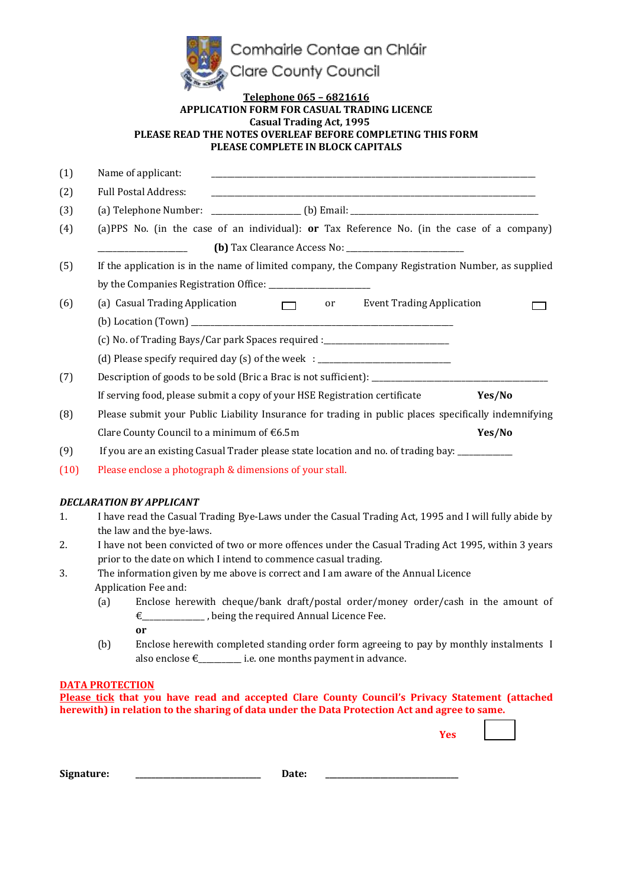

#### **Telephone 065 – 6821616 APPLICATION FORM FOR CASUAL TRADING LICENCE Casual Trading Act, 1995 PLEASE READ THE NOTES OVERLEAF BEFORE COMPLETING THIS FORM PLEASE COMPLETE IN BLOCK CAPITALS**

| (1)  | Name of applicant:<br><u> 1989 - Johann Stoff, deutscher Stoff, der Stoff, der Stoff, der Stoff, der Stoff, der Stoff, der Stoff, der S</u> |  |  |
|------|---------------------------------------------------------------------------------------------------------------------------------------------|--|--|
| (2)  | <b>Full Postal Address:</b>                                                                                                                 |  |  |
| (3)  |                                                                                                                                             |  |  |
| (4)  | (a)PPS No. (in the case of an individual): or Tax Reference No. (in the case of a company)                                                  |  |  |
|      |                                                                                                                                             |  |  |
| (5)  | If the application is in the name of limited company, the Company Registration Number, as supplied                                          |  |  |
|      |                                                                                                                                             |  |  |
| (6)  | (a) Casual Trading Application $\Box$<br><b>Event Trading Application</b><br>or                                                             |  |  |
|      |                                                                                                                                             |  |  |
|      | (c) No. of Trading Bays/Car park Spaces required :______________________________                                                            |  |  |
|      | (d) Please specify required day (s) of the week : ______________________________                                                            |  |  |
| (7)  | Description of goods to be sold (Bric a Brac is not sufficient): __________________________________                                         |  |  |
|      | If serving food, please submit a copy of your HSE Registration certificate<br>Yes/No                                                        |  |  |
| (8)  | Please submit your Public Liability Insurance for trading in public places specifically indemnifying                                        |  |  |
|      | Yes/No<br>Clare County Council to a minimum of $66.5m$                                                                                      |  |  |
| (9)  | If you are an existing Casual Trader please state location and no. of trading bay: __________                                               |  |  |
| (10) | Please enclose a photograph & dimensions of your stall.                                                                                     |  |  |

#### *DECLARATION BY APPLICANT*

- 1. I have read the Casual Trading Bye-Laws under the Casual Trading Act, 1995 and I will fully abide by the law and the bye-laws.
- 2. I have not been convicted of two or more offences under the Casual Trading Act 1995, within 3 years prior to the date on which I intend to commence casual trading.
- 3. The information given by me above is correct and I am aware of the Annual Licence
	- Application Fee and:
		- (a) Enclose herewith cheque/bank draft/postal order/money order/cash in the amount of €\_\_\_\_\_\_\_\_\_\_\_\_\_\_\_\_ , being the required Annual Licence Fee. **or**
		- (b) Enclose herewith completed standing order form agreeing to pay by monthly instalments I also enclose  $\epsilon$  i.e. one months payment in advance.

#### **DATA PROTECTION**

**Please tick that you have read and accepted Clare County Council's Privacy Statement (attached herewith) in relation to the sharing of data under the Data Protection Act and agree to same.**

| Signature: | Date. | ________ |
|------------|-------|----------|
|------------|-------|----------|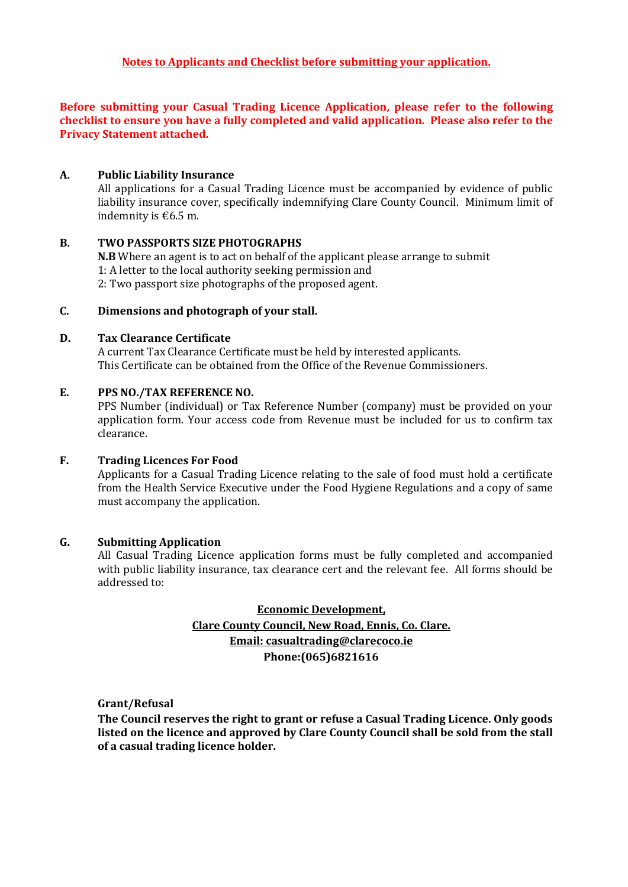#### **Before submitting your Casual Trading Licence Application, please refer to the following checklist to ensure you have a fully completed and valid application. Please also refer to the Privacy Statement attached.**

#### **A. Public Liability Insurance**

All applications for a Casual Trading Licence must be accompanied by evidence of public liability insurance cover, specifically indemnifying Clare County Council. Minimum limit of indemnity is  $\text{\textsterling}6.5$  m.

#### **B. TWO PASSPORTS SIZE PHOTOGRAPHS**

**N.B** Where an agent is to act on behalf of the applicant please arrange to submit 1: A letter to the local authority seeking permission and 2: Two passport size photographs of the proposed agent.

#### **C. Dimensions and photograph of your stall.**

#### **D. Tax Clearance Certificate**

A current Tax Clearance Certificate must be held by interested applicants. This Certificate can be obtained from the Office of the Revenue Commissioners.

#### **E. PPS NO./TAX REFERENCE NO.**

PPS Number (individual) or Tax Reference Number (company) must be provided on your application form. Your access code from Revenue must be included for us to confirm tax clearance.

#### **F. Trading Licences For Food**

Applicants for a Casual Trading Licence relating to the sale of food must hold a certificate from the Health Service Executive under the Food Hygiene Regulations and a copy of same must accompany the application.

### **G. Submitting Application**

All Casual Trading Licence application forms must be fully completed and accompanied with public liability insurance, tax clearance cert and the relevant fee. All forms should be addressed to:

## **Economic Development, Clare County Council, New Road, Ennis, Co. Clare. Email: casualtrading@clarecoco.ie Phone:(065)6821616**

**Grant/Refusal** 

**The Council reserves the right to grant or refuse a Casual Trading Licence. Only goods listed on the licence and approved by Clare County Council shall be sold from the stall of a casual trading licence holder.**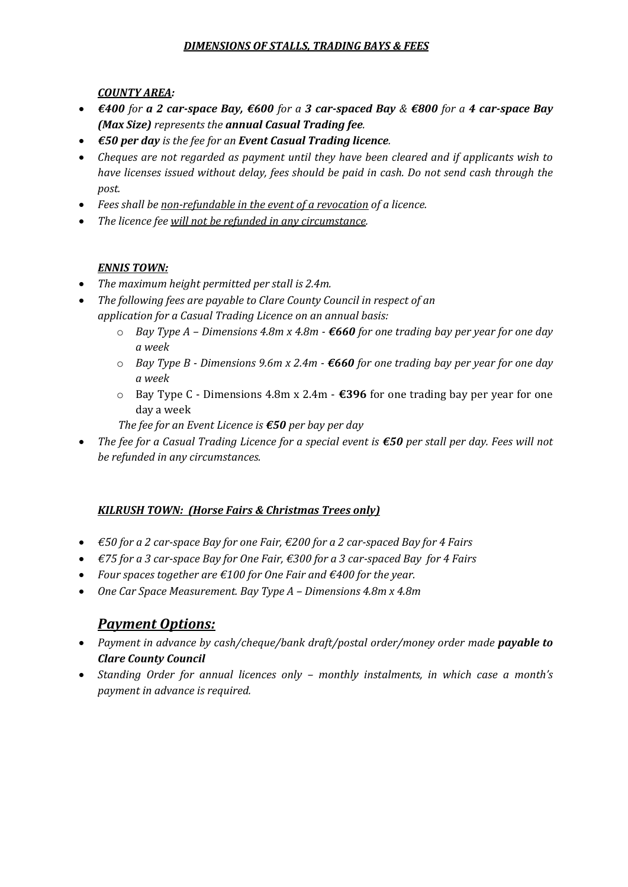## *DIMENSIONS OF STALLS, TRADING BAYS & FEES*

*COUNTY AREA:*

- *€400 for a 2 car-space Bay, €600 for a 3 car-spaced Bay & €800 for a 4 car-space Bay (Max Size) represents the annual Casual Trading fee.*
- *€50 per day is the fee for an Event Casual Trading licence.*
- *Cheques are not regarded as payment until they have been cleared and if applicants wish to have licenses issued without delay, fees should be paid in cash. Do not send cash through the post.*
- *Fees shall be non-refundable in the event of a revocation of a licence.*
- *The licence fee will not be refunded in any circumstance.*

## *ENNIS TOWN:*

- *The maximum height permitted per stall is 2.4m.*
- *The following fees are payable to Clare County Council in respect of an application for a Casual Trading Licence on an annual basis:*
	- o *Bay Type A – Dimensions 4.8m x 4.8m - €660 for one trading bay per year for one day a week*
	- o *Bay Type B - Dimensions 9.6m x 2.4m - €660 for one trading bay per year for one day a week*
	- o Bay Type C Dimensions 4.8m x 2.4m **€396** for one trading bay per year for one day a week
	- *The fee for an Event Licence is €50 per bay per day*
- *The fee for a Casual Trading Licence for a special event is €50 per stall per day. Fees will not be refunded in any circumstances.*

## *KILRUSH TOWN: (Horse Fairs & Christmas Trees only)*

- *€50 for a 2 car-space Bay for one Fair, €200 for a 2 car-spaced Bay for 4 Fairs*
- *€75 for a 3 car-space Bay for One Fair, €300 for a 3 car-spaced Bay for 4 Fairs*
- *Four spaces together are €100 for One Fair and €400 for the year.*
- *One Car Space Measurement. Bay Type A – Dimensions 4.8m x 4.8m*

# *Payment Options:*

- *Payment in advance by cash/cheque/bank draft/postal order/money order made payable to Clare County Council*
- *Standing Order for annual licences only – monthly instalments, in which case a month's payment in advance is required.*